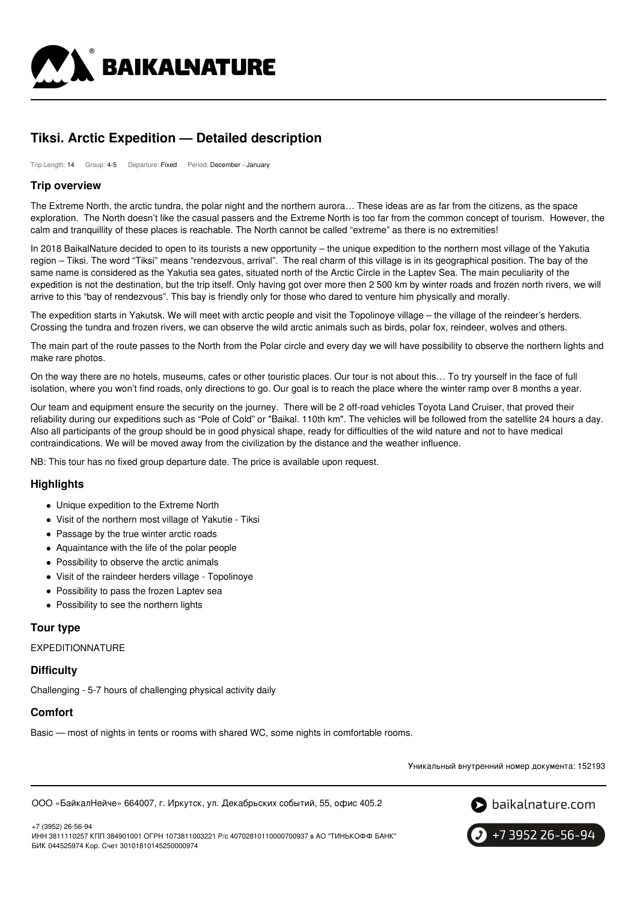

# **Tiksi. Arctic Expedition — Detailed description**

Trip Length: 14 Group: 4-5 Departure: Fixed Period: December - January

### **Trip overview**

The Extreme North, the arctic tundra, the polar night and the northern aurora… These ideas are as far from the citizens, as the space exploration. The North doesn't like the casual passers and the Extreme North is too far from the common concept of tourism. However, the calm and tranquillity of these places is reachable. The North cannot be called "extreme" as there is no extremities!

In 2018 BaikalNature decided to open to its tourists a new opportunity – the unique expedition to the northern most village of the Yakutia region – Tiksi. The word "Tiksi" means "rendezvous, arrival". The real charm of this village is in its geographical position. The bay of the same name is considered as the Yakutia sea gates, situated north of the Arctic Circle in the Laptev Sea. The main peculiarity of the expedition is not the destination, but the trip itself. Only having got over more then 2 500 km by winter roads and frozen north rivers, we will arrive to this "bay of rendezvous". This bay is friendly only for those who dared to venture him physically and morally.

The expedition starts in Yakutsk. We will meet with arctic people and visit the Topolinoye village – the village of the reindeer's herders. Crossing the tundra and frozen rivers, we can observe the wild arctic animals such as birds, polar fox, reindeer, wolves and others.

The main part of the route passes to the North from the Polar circle and every day we will have possibility to observe the northern lights and make rare photos.

On the way there are no hotels, museums, cafes or other touristic places. Our tour is not about this… To try yourself in the face of full isolation, where you won't find roads, only directions to go. Our goal is to reach the place where the winter ramp over 8 months a year.

Our team and equipment ensure the security on the journey. There will be 2 off-road vehicles Toyota Land Cruiser, that proved their reliability during our expeditions such as "Pole of Cold" or "Baikal. 110th km". The vehicles will be followed from the satellite 24 hours a day. Also all participants of the group should be in good physical shape, ready for difficulties of the wild nature and not to have medical contraindications. We will be moved away from the civilization by the distance and the weather influence.

NB: This tour has no fixed group departure date. The price is available upon request.

# **Highlights**

- Unique expedition to the Extreme North
- Visit of the northern most village of Yakutie Tiksi
- Passage by the true winter arctic roads
- Aquaintance with the life of the polar people
- Possibility to observe the arctic animals
- Visit of the raindeer herders village Topolinoye
- Possibility to pass the frozen Laptev sea
- Possibility to see the northern lights

# **Tour type**

#### EXPEDITIONNATURE

#### **Difficulty**

Challenging - 5-7 hours of challenging physical activity daily

# **Comfort**

Basic — most of nights in tents or rooms with shared WC, some nights in comfortable rooms.

Уникальный внутренний номер документа: 152193

ООО «БайкалНейче» 664007, г. Иркутск, ул. Декабрьских событий, 55, офис 405.2



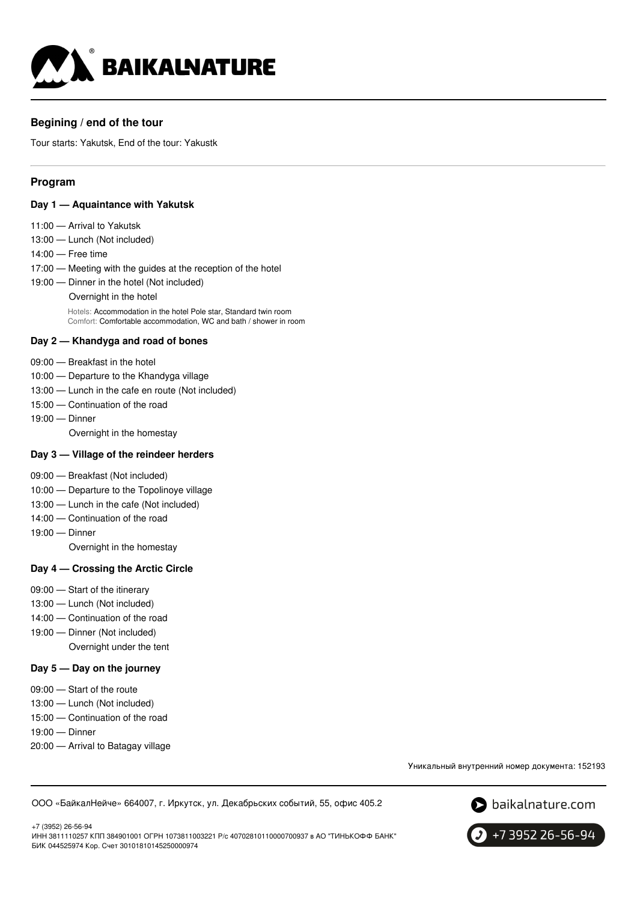

# **Begining / end of the tour**

Tour starts: Yakutsk, End of the tour: Yakustk

# **Program**

#### **Day 1 — Aquaintance with Yakutsk**

- 11:00 Arrival to Yakutsk
- 13:00 Lunch (Not included)
- 14:00 Free time
- 17:00 Meeting with the guides at the reception of the hotel
- 19:00 Dinner in the hotel (Not included)
	- Overnight in the hotel

Hotels: Accommodation in the hotel Pole star, Standard twin room Comfort: Comfortable accommodation, WC and bath / shower in room

#### **Day 2 — Khandyga and road of bones**

- 09:00 Breakfast in the hotel
- 10:00 Departure to the Khandyga village
- 13:00 Lunch in the cafe en route (Not included)
- 15:00 Continuation of the road
- 19:00 Dinner Overnight in the homestay

#### **Day 3 — Village of the reindeer herders**

- 09:00 Breakfast (Not included)
- 10:00 Departure to the Topolinoye village
- 13:00 Lunch in the cafe (Not included)
- 14:00 Continuation of the road
- 19:00 Dinner

Overnight in the homestay

# **Day 4 — Crossing the Arctic Circle**

- 09:00 Start of the itinerary
- 13:00 Lunch (Not included)
- 14:00 Continuation of the road
- 19:00 Dinner (Not included)
	- Overnight under the tent

#### **Day 5 — Day on the journey**

- 09:00 Start of the route
- 13:00 Lunch (Not included)
- 15:00 Continuation of the road
- 19:00 Dinner
- 20:00 Arrival to Batagay village

Уникальный внутренний номер документа: 152193

ООО «БайкалНейче» 664007, г. Иркутск, ул. Декабрьских событий, 55, офис 405.2



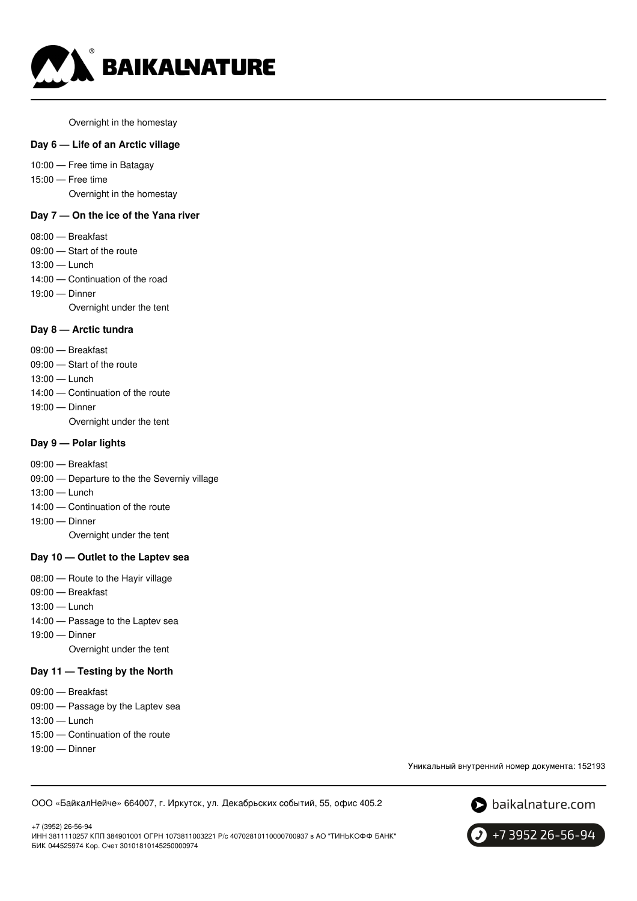

Overnight in the homestay

#### **Day 6 — Life of an Arctic village**

10:00 — Free time in Batagay 15:00 — Free time Overnight in the homestay

### **Day 7 — On the ice of the Yana river**

- 08:00 Breakfast
- 09:00 Start of the route
- 13:00 Lunch
- 14:00 Continuation of the road
- 19:00 Dinner

Overnight under the tent

#### **Day 8 — Arctic tundra**

- 09:00 Breakfast
- 09:00 Start of the route
- 13:00 Lunch
- 14:00 Continuation of the route
- 19:00 Dinner
	- Overnight under the tent

### **Day 9 — Polar lights**

- 09:00 Breakfast
- 09:00 Departure to the the Severniy village
- 13:00 Lunch
- 14:00 Continuation of the route
- 19:00 Dinner
	- Overnight under the tent

#### **Day 10 — Outlet to the Laptev sea**

- 08:00 Route to the Hayir village
- 09:00 Breakfast
- 13:00 Lunch
- 14:00 Passage to the Laptev sea
- 19:00 Dinner
	- Overnight under the tent

#### **Day 11 — Testing by the North**

- 09:00 Breakfast
- 09:00 Passage by the Laptev sea
- 13:00 Lunch
- 15:00 Continuation of the route
- 19:00 Dinner

Уникальный внутренний номер документа: 152193

ООО «БайкалНейче» 664007, г. Иркутск, ул. Декабрьских событий, 55, офис 405.2



+7 3952 26-56-94

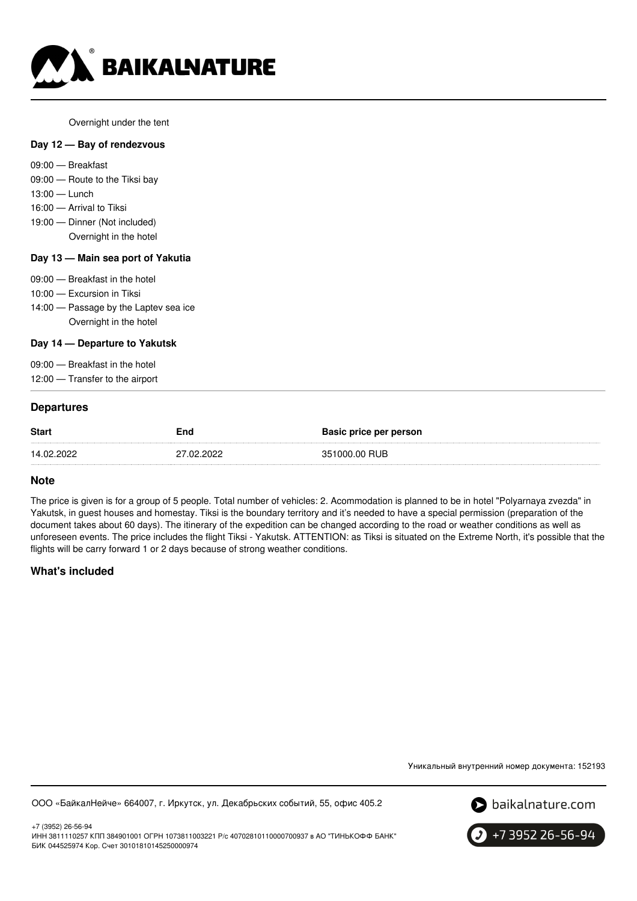

Overnight under the tent

#### **Day 12 — Bay of rendezvous**

- 09:00 Breakfast
- 09:00 Route to the Tiksi bay
- 13:00 Lunch
- 16:00 Arrival to Tiksi
- 19:00 Dinner (Not included)
	- Overnight in the hotel

#### **Day 13 — Main sea port of Yakutia**

- 09:00 Breakfast in the hotel
- 10:00 Excursion in Tiksi
- 14:00 Passage by the Laptev sea ice Overnight in the hotel

# **Day 14 — Departure to Yakutsk**

| 09:00 – Breakfast in the hotel  |  |
|---------------------------------|--|
| 12:00 – Transfer to the airport |  |

# **Departures**

| <b>Start</b> | End        | Basic price per person |
|--------------|------------|------------------------|
| 14.02.2022   | 27.02.2022 | 351000.00 RUB          |
|              |            |                        |

### **Note**

The price is given is for a group of 5 people. Total number of vehicles: 2. Acommodation is planned to be in hotel "Polyarnaya zvezda" in Yakutsk, in guest houses and homestay. Tiksi is the boundary territory and it's needed to have a special permission (preparation of the document takes about 60 days). The itinerary of the expedition can be changed according to the road or weather conditions as well as unforeseen events. The price includes the flight Tiksi - Yakutsk. ATTENTION: as Tiksi is situated on the Extreme North, it's possible that the flights will be carry forward 1 or 2 days because of strong weather conditions.

# **What's included**

Уникальный внутренний номер документа: 152193

ООО «БайкалНейче» 664007, г. Иркутск, ул. Декабрьских событий, 55, офис 405.2



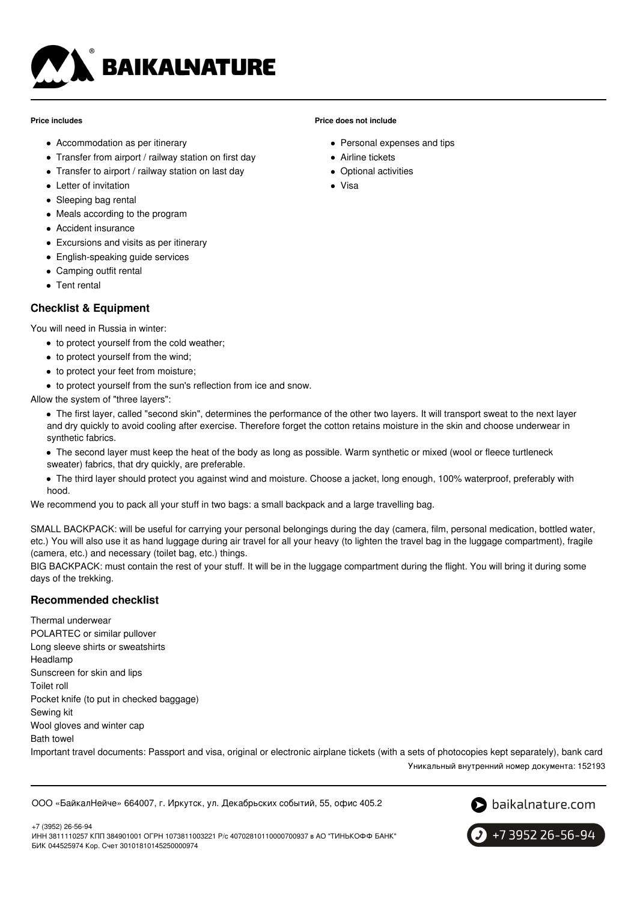

#### **Price includes**

- Accommodation as per itinerary
- Transfer from airport / railway station on first day
- Transfer to airport / railway station on last day
- Letter of invitation
- Sleeping bag rental
- Meals according to the program
- Accident insurance
- Excursions and visits as per itinerary
- English-speaking guide services
- Camping outfit rental
- Tent rental

# **Checklist & Equipment**

You will need in Russia in winter:

- to protect yourself from the cold weather:
- to protect yourself from the wind;
- to protect your feet from moisture;
- $\bullet$  to protect yourself from the sun's reflection from ice and snow.

Allow the system of "three layers":

- The first layer, called "second skin", determines the performance of the other two layers. It will transport sweat to the next layer and dry quickly to avoid cooling after exercise. Therefore forget the cotton retains moisture in the skin and choose underwear in synthetic fabrics.
- The second layer must keep the heat of the body as long as possible. Warm synthetic or mixed (wool or fleece turtleneck sweater) fabrics, that dry quickly, are preferable.
- The third layer should protect you against wind and moisture. Choose a jacket, long enough, 100% waterproof, preferably with hood.

We recommend you to pack all your stuff in two bags: a small backpack and a large travelling bag.

SMALL BACKPACK: will be useful for carrying your personal belongings during the day (camera, film, personal medication, bottled water, etc.) You will also use it as hand luggage during air travel for all your heavy (to lighten the travel bag in the luggage compartment), fragile (camera, etc.) and necessary (toilet bag, etc.) things.

BIG BACKPACK: must contain the rest of your stuff. It will be in the luggage compartment during the flight. You will bring it during some days of the trekking.

# **Recommended checklist**

Thermal underwear POLARTEC or similar pullover Long sleeve shirts or sweatshirts Headlamp Sunscreen for skin and lips Toilet roll Pocket knife (to put in checked baggage) Sewing kit Wool gloves and winter cap Bath towel Important travel documents: Passport and visa, original or electronic airplane tickets (with a sets of photocopies kept separately), bank card Уникальный внутренний номер документа: 152193

ООО «БайкалНейче» 664007, г. Иркутск, ул. Декабрьских событий, 55, офис 405.2



+7 3952 26-56-94



- Personal expenses and tips
- Airline tickets
- Optional activities
- Visa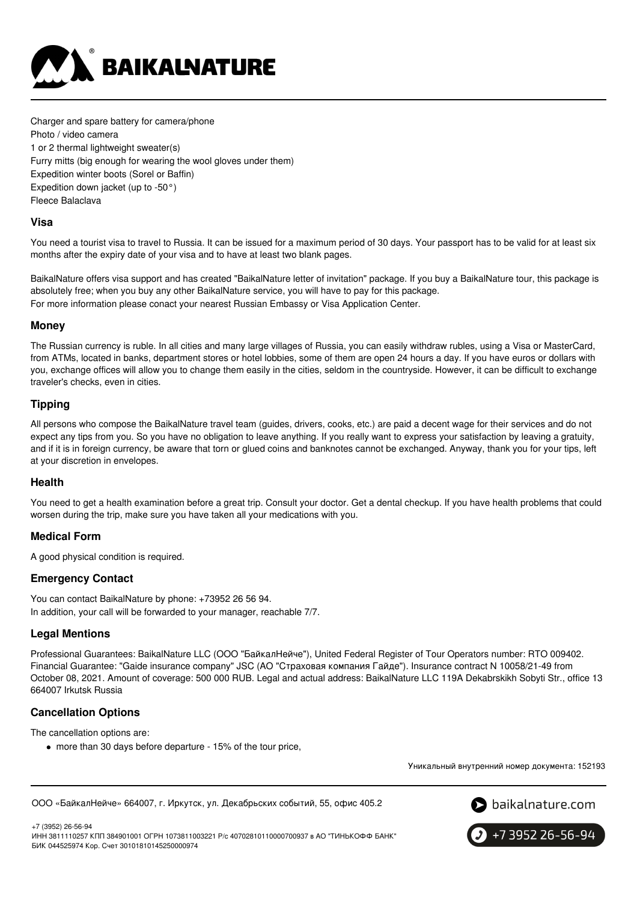

Charger and spare battery for camera/phone Photo / video camera 1 or 2 thermal lightweight sweater(s) Furry mitts (big enough for wearing the wool gloves under them) Expedition winter boots (Sorel or Baffin) Expedition down jacket (up to -50°) Fleece Balaclava

# **Visa**

You need a tourist visa to travel to Russia. It can be issued for a maximum period of 30 days. Your passport has to be valid for at least six months after the expiry date of your visa and to have at least two blank pages.

BaikalNature offers visa support and has created "BaikalNature letter of invitation" package. If you buy a BaikalNature tour, this package is absolutely free; when you buy any other BaikalNature service, you will have to pay for this package. For more information please conact your nearest Russian Embassy or Visa Application Center.

# **Money**

The Russian currency is ruble. In all cities and many large villages of Russia, you can easily withdraw rubles, using a Visa or MasterCard, from ATMs, located in banks, department stores or hotel lobbies, some of them are open 24 hours a day. If you have euros or dollars with you, exchange offices will allow you to change them easily in the cities, seldom in the countryside. However, it can be difficult to exchange traveler's checks, even in cities.

# **Tipping**

All persons who compose the BaikalNature travel team (guides, drivers, cooks, etc.) are paid a decent wage for their services and do not expect any tips from you. So you have no obligation to leave anything. If you really want to express your satisfaction by leaving a gratuity, and if it is in foreign currency, be aware that torn or glued coins and banknotes cannot be exchanged. Anyway, thank you for your tips, left at your discretion in envelopes.

# **Health**

You need to get a health examination before a great trip. Consult your doctor. Get a dental checkup. If you have health problems that could worsen during the trip, make sure you have taken all your medications with you.

# **Medical Form**

A good physical condition is required.

# **Emergency Contact**

You can contact BaikalNature by phone: +73952 26 56 94. In addition, your call will be forwarded to your manager, reachable 7/7.

# **Legal Mentions**

Professional Guarantees: BaikalNature LLC (ООО "БайкалНейче"), United Federal Register of Tour Operators number: RTO 009402. Financial Guarantee: "Gaide insurance company" JSC (АО "Страховая компания Гайде"). Insurance contract N 10058/21-49 from October 08, 2021. Amount of coverage: 500 000 RUB. Legal and actual address: BaikalNature LLC 119А Dekabrskikh Sobyti Str., office 13 664007 Irkutsk Russia

# **Cancellation Options**

The cancellation options are:

more than 30 days before departure - 15% of the tour price,

Уникальный внутренний номер документа: 152193

ООО «БайкалНейче» 664007, г. Иркутск, ул. Декабрьских событий, 55, офис 405.2